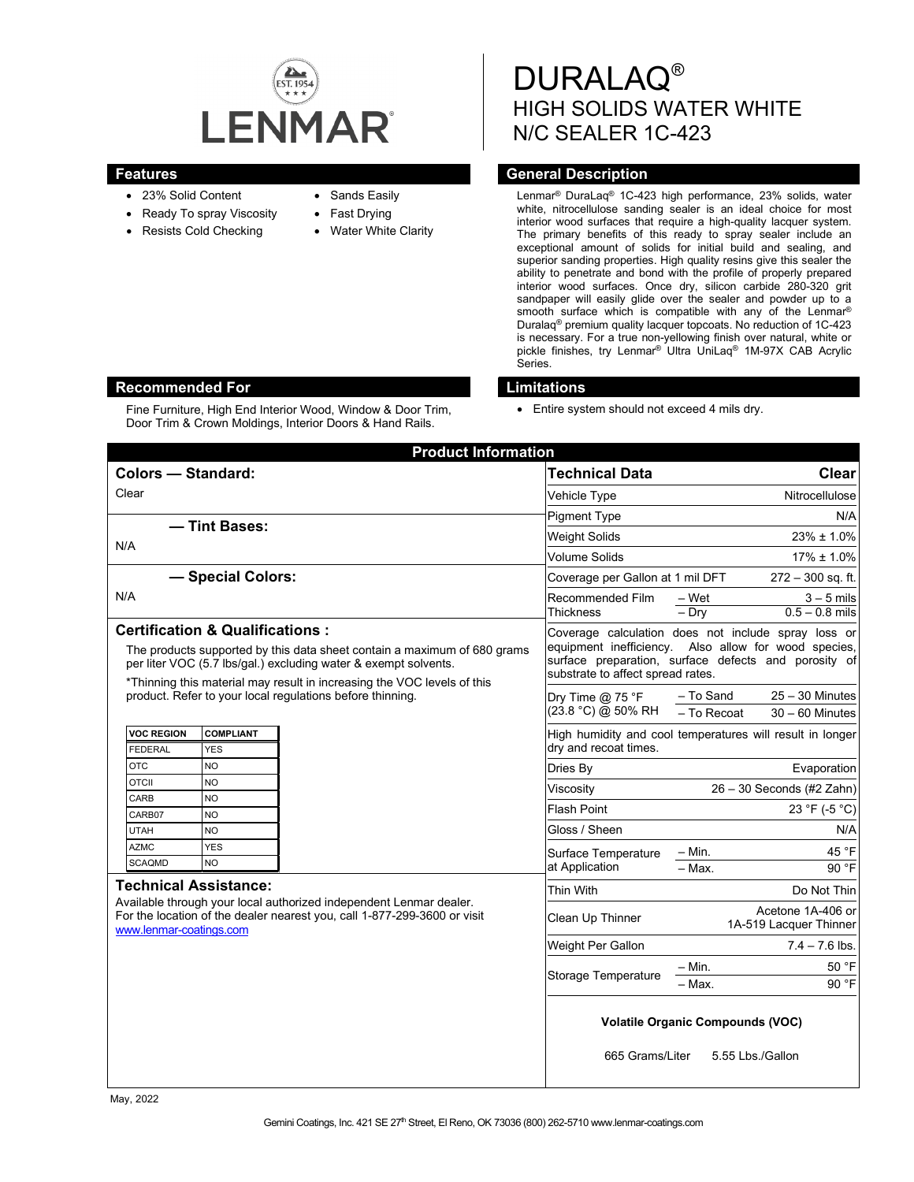

- 23% Solid Content
- Ready To spray Viscosity
- Resists Cold Checking
- Sands Easily
- Fast Drying
- **Water White Clarity**

DURALAQ® HIGH SOLIDS WATER WHITE N/C SEALER 1C-423

## **Features Features General Description**

Lenmar® DuraLaq® 1C-423 high performance, 23% solids, water white, nitrocellulose sanding sealer is an ideal choice for most interior wood surfaces that require a high-quality lacquer system. The primary benefits of this ready to spray sealer include an exceptional amount of solids for initial build and sealing, and superior sanding properties. High quality resins give this sealer the ability to penetrate and bond with the profile of properly prepared interior wood surfaces. Once dry, silicon carbide 280-320 grit sandpaper will easily glide over the sealer and powder up to a smooth surface which is compatible with any of the Lenmar<sup>®</sup> Duralaq® premium quality lacquer topcoats. No reduction of 1C-423 is necessary. For a true non-yellowing finish over natural, white or pickle finishes, try Lenmar® Ultra UniLaq® 1M-97X CAB Acrylic Series.

## **Recommended For Limitations**

Fine Furniture, High End Interior Wood, Window & Door Trim, Door Trim & Crown Moldings, Interior Doors & Hand Rails.

• Entire system should not exceed 4 mils dry.

| <b>Product Information</b>                                                                                                                                                                                                                                           |                                                                                    |                                                                                                                                                                     |
|----------------------------------------------------------------------------------------------------------------------------------------------------------------------------------------------------------------------------------------------------------------------|------------------------------------------------------------------------------------|---------------------------------------------------------------------------------------------------------------------------------------------------------------------|
| <b>Colors - Standard:</b>                                                                                                                                                                                                                                            | <b>Technical Data</b>                                                              | <b>Clear</b>                                                                                                                                                        |
| Clear                                                                                                                                                                                                                                                                | Vehicle Type                                                                       | Nitrocellulose                                                                                                                                                      |
|                                                                                                                                                                                                                                                                      | <b>Pigment Type</b>                                                                | N/A                                                                                                                                                                 |
| - Tint Bases:                                                                                                                                                                                                                                                        | Weight Solids                                                                      | $23\% \pm 1.0\%$                                                                                                                                                    |
| N/A                                                                                                                                                                                                                                                                  | <b>Volume Solids</b>                                                               | $17\% \pm 1.0\%$                                                                                                                                                    |
| - Special Colors:                                                                                                                                                                                                                                                    | Coverage per Gallon at 1 mil DFT                                                   | $272 - 300$ sq. ft.                                                                                                                                                 |
| N/A                                                                                                                                                                                                                                                                  | Recommended Film<br><b>Thickness</b>                                               | – Wet<br>$3 - 5$ mils<br>$-$ Dry<br>$0.5 - 0.8$ mils                                                                                                                |
| <b>Certification &amp; Qualifications:</b><br>The products supported by this data sheet contain a maximum of 680 grams<br>per liter VOC (5.7 lbs/gal.) excluding water & exempt solvents.<br>*Thinning this material may result in increasing the VOC levels of this | substrate to affect spread rates.                                                  | Coverage calculation does not include spray loss or<br>equipment inefficiency. Also allow for wood species,<br>surface preparation, surface defects and porosity of |
| product. Refer to your local regulations before thinning.                                                                                                                                                                                                            | Dry Time $@$ 75 °F<br>(23.8 °C) @ 50% RH                                           | $25 - 30$ Minutes<br>- To Sand<br>- To Recoat<br>$30 - 60$ Minutes                                                                                                  |
| <b>VOC REGION</b><br><b>COMPLIANT</b><br><b>FEDERAL</b><br><b>YES</b>                                                                                                                                                                                                | High humidity and cool temperatures will result in longer<br>dry and recoat times. |                                                                                                                                                                     |
| <b>OTC</b><br><b>NO</b>                                                                                                                                                                                                                                              | Dries By                                                                           | Evaporation                                                                                                                                                         |
| <b>OTCII</b><br><b>NO</b><br>CARB<br>NO.                                                                                                                                                                                                                             | Viscosity                                                                          | $26 - 30$ Seconds (#2 Zahn)                                                                                                                                         |
| CARB07<br><b>NO</b>                                                                                                                                                                                                                                                  | <b>Flash Point</b>                                                                 | 23 °F (-5 °C)                                                                                                                                                       |
| <b>UTAH</b><br><b>NO</b>                                                                                                                                                                                                                                             | Gloss / Sheen                                                                      | N/A                                                                                                                                                                 |
| <b>AZMC</b><br><b>YES</b>                                                                                                                                                                                                                                            | Surface Temperature<br>at Application                                              | 45 °F<br>$-$ Min.                                                                                                                                                   |
| <b>NO</b><br><b>SCAQMD</b>                                                                                                                                                                                                                                           |                                                                                    | - Max.<br>90 °F                                                                                                                                                     |
| <b>Technical Assistance:</b><br>Available through your local authorized independent Lenmar dealer.<br>For the location of the dealer nearest you, call 1-877-299-3600 or visit<br>www.lenmar-coatings.com                                                            | Thin With                                                                          | Do Not Thin                                                                                                                                                         |
|                                                                                                                                                                                                                                                                      | Clean Up Thinner                                                                   | Acetone 1A-406 or<br>1A-519 Lacquer Thinner                                                                                                                         |
|                                                                                                                                                                                                                                                                      | Weight Per Gallon                                                                  | $7.4 - 7.6$ lbs.                                                                                                                                                    |
|                                                                                                                                                                                                                                                                      | Storage Temperature                                                                | - Min.<br>50 °F<br>90 °F<br>– Max.                                                                                                                                  |
|                                                                                                                                                                                                                                                                      | <b>Volatile Organic Compounds (VOC)</b><br>665 Grams/Liter<br>5.55 Lbs./Gallon     |                                                                                                                                                                     |